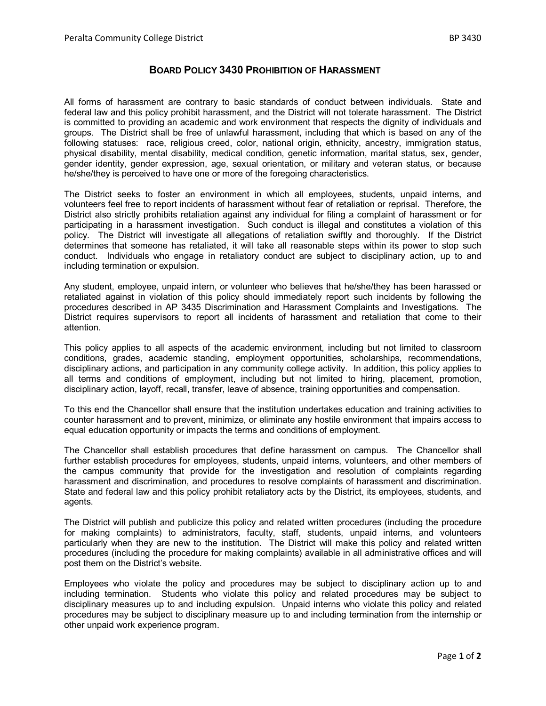## **BOARD POLICY 3430 PROHIBITION OF HARASSMENT**

All forms of harassment are contrary to basic standards of conduct between individuals. State and federal law and this policy prohibit harassment, and the District will not tolerate harassment. The District is committed to providing an academic and work environment that respects the dignity of individuals and groups. The District shall be free of unlawful harassment, including that which is based on any of the following statuses: race, religious creed, color, national origin, ethnicity, ancestry, immigration status, physical disability, mental disability, medical condition, genetic information, marital status, sex, gender, gender identity, gender expression, age, sexual orientation, or military and veteran status, or because he/she/they is perceived to have one or more of the foregoing characteristics.

The District seeks to foster an environment in which all employees, students, unpaid interns, and volunteers feel free to report incidents of harassment without fear of retaliation or reprisal. Therefore, the District also strictly prohibits retaliation against any individual for filing a complaint of harassment or for participating in a harassment investigation. Such conduct is illegal and constitutes a violation of this policy. The District will investigate all allegations of retaliation swiftly and thoroughly. If the District determines that someone has retaliated, it will take all reasonable steps within its power to stop such conduct. Individuals who engage in retaliatory conduct are subject to disciplinary action, up to and including termination or expulsion.

Any student, employee, unpaid intern, or volunteer who believes that he/she/they has been harassed or retaliated against in violation of this policy should immediately report such incidents by following the procedures described in AP 3435 Discrimination and Harassment Complaints and Investigations. The District requires supervisors to report all incidents of harassment and retaliation that come to their attention.

This policy applies to all aspects of the academic environment, including but not limited to classroom conditions, grades, academic standing, employment opportunities, scholarships, recommendations, disciplinary actions, and participation in any community college activity. In addition, this policy applies to all terms and conditions of employment, including but not limited to hiring, placement, promotion, disciplinary action, layoff, recall, transfer, leave of absence, training opportunities and compensation.

To this end the Chancellor shall ensure that the institution undertakes education and training activities to counter harassment and to prevent, minimize, or eliminate any hostile environment that impairs access to equal education opportunity or impacts the terms and conditions of employment.

The Chancellor shall establish procedures that define harassment on campus. The Chancellor shall further establish procedures for employees, students, unpaid interns, volunteers, and other members of the campus community that provide for the investigation and resolution of complaints regarding harassment and discrimination, and procedures to resolve complaints of harassment and discrimination. State and federal law and this policy prohibit retaliatory acts by the District, its employees, students, and agents.

The District will publish and publicize this policy and related written procedures (including the procedure for making complaints) to administrators, faculty, staff, students, unpaid interns, and volunteers particularly when they are new to the institution. The District will make this policy and related written procedures (including the procedure for making complaints) available in all administrative offices and will post them on the District's website.

Employees who violate the policy and procedures may be subject to disciplinary action up to and including termination. Students who violate this policy and related procedures may be subject to disciplinary measures up to and including expulsion. Unpaid interns who violate this policy and related procedures may be subject to disciplinary measure up to and including termination from the internship or other unpaid work experience program.